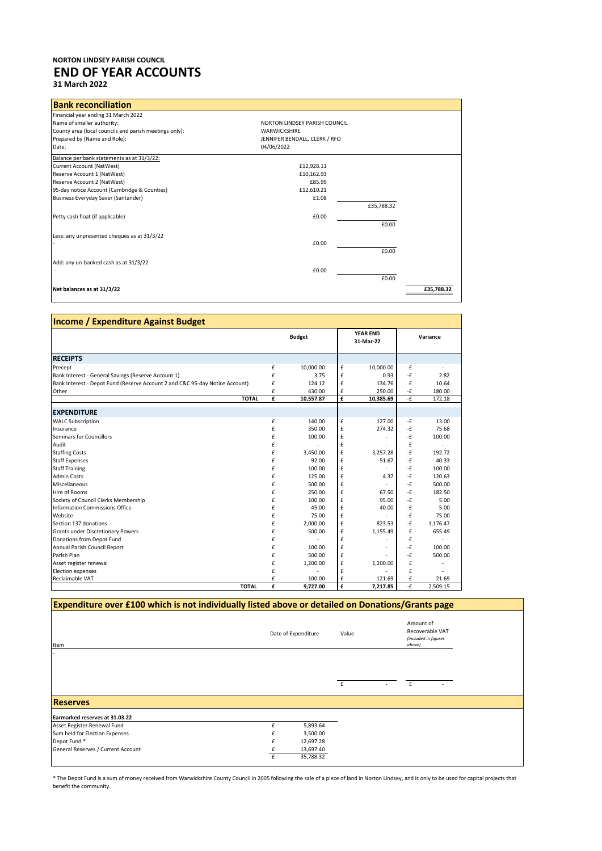## **NORTON LINDSEY PARISH COUNCIL END OF YEAR ACCOUNTS 31 March 2022**

| <b>Bank reconciliation</b>                             |                               |            |            |
|--------------------------------------------------------|-------------------------------|------------|------------|
| Financial year ending 31 March 2022                    |                               |            |            |
| Name of smaller authority:                             | NORTON LINDSEY PARISH COUNCIL |            |            |
| County area (local councils and parish meetings only): | <b>WARWICKSHIRE</b>           |            |            |
| Prepared by (Name and Role):                           | JENNIFER BENDALL, CLERK / RFO |            |            |
| Date:                                                  | 04/06/2022                    |            |            |
| Balance per bank statements as at 31/3/22:             |                               |            |            |
| Current Account (NatWest)                              | £12,928.11                    |            |            |
| Reserve Account 1 (NatWest)                            | £10,162.93                    |            |            |
| Reserve Account 2 (NatWest)                            | £85.99                        |            |            |
| 95-day notice Account (Cambridge & Counties)           | £12,610.21                    |            |            |
| Business Everyday Saver (Santander)                    | £1.08                         |            |            |
|                                                        |                               | £35,788.32 |            |
| Petty cash float (if applicable)                       | £0.00                         |            |            |
|                                                        |                               | £0.00      |            |
| Less: any unpresented cheques as at 31/3/22            |                               |            |            |
|                                                        | £0.00                         |            |            |
|                                                        |                               | £0.00      |            |
| Add: any un-banked cash as at 31/3/22                  |                               |            |            |
|                                                        | £0.00                         |            |            |
|                                                        |                               | £0.00      |            |
|                                                        |                               |            |            |
| Net balances as at 31/3/22                             |                               |            | £35.788.32 |

| <b>Income / Expenditure Against Budget</b>                                   |   |               |                              |           |               |          |
|------------------------------------------------------------------------------|---|---------------|------------------------------|-----------|---------------|----------|
|                                                                              |   | <b>Budget</b> | <b>YEAR END</b><br>31-Mar-22 |           | Variance      |          |
| <b>RECEIPTS</b>                                                              |   |               |                              |           |               |          |
| Precept                                                                      | £ | 10,000.00     | £                            | 10,000.00 | £             |          |
| Bank Interest - General Savings (Reserve Account 1)                          | £ | 3.75          | £                            | 0.93      | -£            | 2.82     |
| Bank Interest - Depot Fund (Reserve Account 2 and C&C 95-day Notice Account) | £ | 124.12        | £                            | 134.76    | £             | 10.64    |
| Other                                                                        | £ | 430.00        | £                            | 250.00    | -£            | 180.00   |
| <b>TOTAL</b>                                                                 | £ | 10,557.87     | £                            | 10,385.69 | $-\mathbf{E}$ | 172.18   |
| <b>EXPENDITURE</b>                                                           |   |               |                              |           |               |          |
| <b>WALC Subscription</b>                                                     | £ | 140.00        | £                            | 127.00    | -£            | 13.00    |
| Insurance                                                                    | £ | 350.00        | £                            | 274.32    | -£            | 75.68    |
| <b>Seminars for Councillors</b>                                              | £ | 100.00        | £                            |           | -£            | 100.00   |
| Audit                                                                        | £ |               | £                            |           | £             |          |
| <b>Staffing Costs</b>                                                        | £ | 3,450.00      | £                            | 3,257.28  | -£            | 192.72   |
| <b>Staff Expenses</b>                                                        | £ | 92.00         | £                            | 51.67     | -£            | 40.33    |
| <b>Staff Training</b>                                                        | £ | 100.00        | £                            |           | -£            | 100.00   |
| <b>Admin Costs</b>                                                           | £ | 125.00        | £                            | 4.37      | -£            | 120.63   |
| Miscellaneous                                                                | £ | 500.00        | £                            |           | -£            | 500.00   |
| Hire of Rooms                                                                | £ | 250.00        | £                            | 67.50     | $-\mathbf{f}$ | 182.50   |
| Society of Council Clerks Membership                                         | £ | 100.00        | £                            | 95.00     | -£            | 5.00     |
| Information Commissions Office                                               | £ | 45.00         | £                            | 40.00     | -£            | 5.00     |
| Website                                                                      | £ | 75.00         | £                            |           | -£            | 75.00    |
| Section 137 donations                                                        | £ | 2,000.00      | £                            | 823.53    | -£            | 1,176.47 |
| <b>Grants under Discretionary Powers</b>                                     | £ | 500.00        | £                            | 1,155.49  | £             | 655.49   |
| Donations from Depot Fund                                                    | £ |               | £                            |           | £             |          |
| Annual Parish Council Report                                                 | £ | 100.00        | £                            |           | -£            | 100.00   |
| Parish Plan                                                                  | £ | 500.00        | £                            |           | -£            | 500.00   |
| Asset register renewal                                                       | £ | 1,200.00      | £                            | 1,200.00  | £             |          |
| <b>Election expenses</b>                                                     | £ |               | £                            |           | £             |          |
| Reclaimable VAT                                                              | £ | 100.00        | £                            | 121.69    | £             | 21.69    |
| <b>TOTAL</b>                                                                 | £ | 9.727.00      | £                            | 7.217.85  | -£            | 2.509.15 |

| Expenditure over £100 which is not individually listed above or detailed on Donations/Grants page |                     |           |       |  |                                                                |  |  |
|---------------------------------------------------------------------------------------------------|---------------------|-----------|-------|--|----------------------------------------------------------------|--|--|
| Item                                                                                              | Date of Expenditure |           | Value |  | Amount of<br>Recoverable VAT<br>(included in figures<br>above) |  |  |
|                                                                                                   |                     |           | £     |  | £                                                              |  |  |
| <b>Reserves</b>                                                                                   |                     |           |       |  |                                                                |  |  |
| Earmarked reserves at 31.03.22                                                                    |                     |           |       |  |                                                                |  |  |
| Asset Register Renewal Fund                                                                       |                     | 5,893.64  |       |  |                                                                |  |  |
| Sum held for Election Expenses                                                                    |                     | 3,500.00  |       |  |                                                                |  |  |
| Depot Fund*                                                                                       |                     | 12,697.28 |       |  |                                                                |  |  |
| General Reserves / Current Account                                                                |                     | 13,697.40 |       |  |                                                                |  |  |
|                                                                                                   | f                   | 35,788.32 |       |  |                                                                |  |  |

\* The Depot Fund is a sum of money received from Warwickshire County Council in 2005 following the sale of a piece of land in Norton Lindsey, and is only to be used for capital projects that benefit the community.